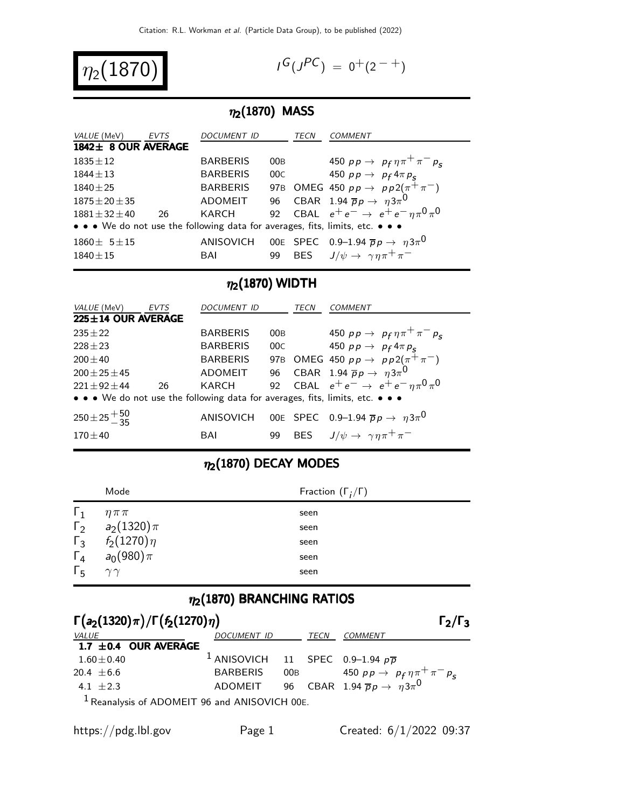$\eta_2(1870)$ 

$$
I^G(J^{PC}) = 0^+(2^{-+})
$$

#### $\eta_2(1870)$  MASS

| VALUE (MeV)          | <b>EVTS</b> | DOCUMENT ID     |       | TECN | COMMENT                                                                       |
|----------------------|-------------|-----------------|-------|------|-------------------------------------------------------------------------------|
| 1842± 8 OUR AVERAGE  |             |                 |       |      |                                                                               |
| $1835 \pm 12$        |             | <b>BARBERIS</b> | 00B . |      | 450 $pp \to p_f \eta \pi^+ \pi^- p_s$                                         |
| $1844 \pm 13$        |             | <b>BARBERIS</b> | 00C   |      | 450 $pp \rightarrow p_f 4 \pi p_s$                                            |
| $1840 \pm 25$        |             | <b>BARBERIS</b> |       |      | 97B OMEG 450 $pp \to pp2(\pi^{+} \pi^{-})$                                    |
| $1875 \pm 20 \pm 35$ |             | <b>ADOMEIT</b>  |       |      | 96 CBAR 1.94 $\overline{p}p \rightarrow \eta 3\pi$ <sup>0</sup>               |
| $1881 + 32 + 40$     | 26          | KARCH           | 92    |      | CBAL $e^+e^- \rightarrow e^+e^-\eta \pi^0 \pi^0$                              |
|                      |             |                 |       |      | • • • We do not use the following data for averages, fits, limits, etc. • • • |
| $1860 \pm 5 \pm 15$  |             | ANISOVICH       |       |      | OOE SPEC 0.9-1.94 $\overline{p}p \rightarrow \eta 3\pi^{0}$                   |
| $1840 \pm 15$        |             | BAI             | 99    |      | BES $J/\psi \rightarrow \gamma \eta \pi^+ \pi^-$                              |

# $\eta_2(1870)$  WIDTH

| VALUE (MeV)                 | <b>EVTS</b> | <i>DOCUMENT ID</i> |     | <b>TECN</b> | <b>COMMENT</b>                                                                               |  |
|-----------------------------|-------------|--------------------|-----|-------------|----------------------------------------------------------------------------------------------|--|
| 225±14 OUR AVERAGE          |             |                    |     |             |                                                                                              |  |
| $235 + 22$                  |             | <b>BARBERIS</b>    | 00B |             | 450 $pp \to p_f \eta \pi^+ \pi^- p_s$                                                        |  |
| $228 \pm 23$                |             | <b>BARBERIS</b>    |     |             | 00c 450 pp $\rightarrow$ pf $4\pi p_s$<br>97B OMEG 450 pp $\rightarrow$ pp2( $\pi^+ \pi^-$ ) |  |
| $200 \pm 40$                |             | <b>BARBERIS</b>    |     |             |                                                                                              |  |
| $200 + 25 + 45$             |             | <b>ADOMEIT</b>     | 96  |             | CBAR 1.94 $\overline{p}p \rightarrow \eta 3\pi$ <sup>0</sup>                                 |  |
| $221 + 92 + 44$             | 26          | KARCH              |     |             | 92 CBAL $e^+e^- \to e^+e^- \eta \pi^0 \pi^0$                                                 |  |
|                             |             |                    |     |             | • • • We do not use the following data for averages, fits, limits, etc. • • •                |  |
| $250\pm 25 + \frac{50}{35}$ |             | ANISOVICH          |     |             | OOE SPEC 0.9-1.94 $\overline{p}p \rightarrow \eta 3\pi$ <sup>0</sup>                         |  |
| $170 + 40$                  |             | <b>BAI</b>         | 99  |             | BES $J/\psi \rightarrow \gamma \eta \pi^+ \pi^-$                                             |  |

## $\eta_2(1870)$  DECAY MODES

|              | Mode                       | Fraction $(\Gamma_i/\Gamma)$ |
|--------------|----------------------------|------------------------------|
| $\mathbf{1}$ | $\eta \pi \pi$             | seen                         |
| $\Gamma_2$   | $a_2(1320)\pi$             | seen                         |
|              | $\Gamma_3$ $f_2(1270)\eta$ | seen                         |
| $\Gamma_4$   | $a_0(980)\,\pi$            | seen                         |
| $\Gamma_{5}$ | $\gamma\gamma$             | seen                         |

#### $\eta_2(1870)$  BRANCHING RATIOS

| $\Gamma(a_2(1320)\pi)/\Gamma(f_2(1270)\eta)$ |                                                          |  |      |                                                                                                                               |
|----------------------------------------------|----------------------------------------------------------|--|------|-------------------------------------------------------------------------------------------------------------------------------|
| <i>VALUE</i>                                 | <b>DOCUMENT ID</b>                                       |  | TECN | <b>COMMENT</b>                                                                                                                |
| 1.7 $\pm$ 0.4 OUR AVERAGE                    |                                                          |  |      |                                                                                                                               |
| $1.60 \pm 0.40$                              | <sup>1</sup> ANISOVICH 11 SPEC 0.9-1.94 $p\overline{p}$  |  |      |                                                                                                                               |
| 20.4 $\pm 6.6$                               |                                                          |  |      | BARBERIS 00B 450 $p p \rightarrow p_f \eta \pi^+ \pi^- p_s$<br>ADOMEIT 96 CBAR 1.94 $\overline{p} p \rightarrow \eta 3 \pi^0$ |
| 4.1 $\pm 2.3$                                |                                                          |  |      |                                                                                                                               |
|                                              | <sup>1</sup> Reanalysis of ADOMEIT 96 and ANISOVICH 00E. |  |      |                                                                                                                               |